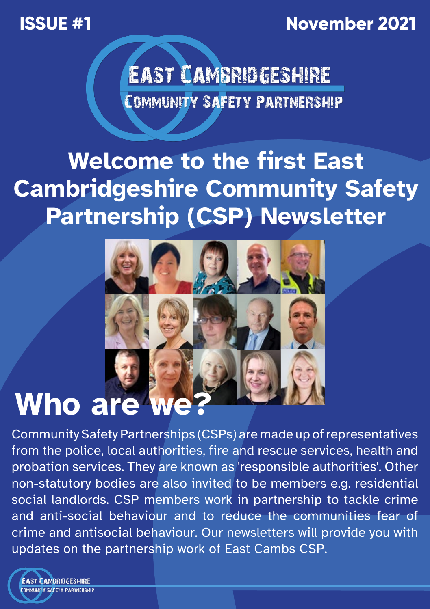**ISSUE #1 November 2021** 



**EAST CAMBRIDGESHIRE** COMMUNITY SAFETY PARTNERSHIP

## **Welcome to the first East Cambridgeshire Community Safety Partnership (CSP) Newsletter**



# **Who are we**

Community Safety Partnerships (CSPs) are made up of representatives from the police, local authorities, fire and rescue services, health and probation services. They are known as 'responsible authorities'. Other non-statutory bodies are also invited to be members e.g. residential social landlords. CSP members work in partnership to tackle crime and anti-social behaviour and to reduce the communities fear of crime and antisocial behaviour. Our newsletters will provide you with updates on the partnership work of East Cambs CSP.

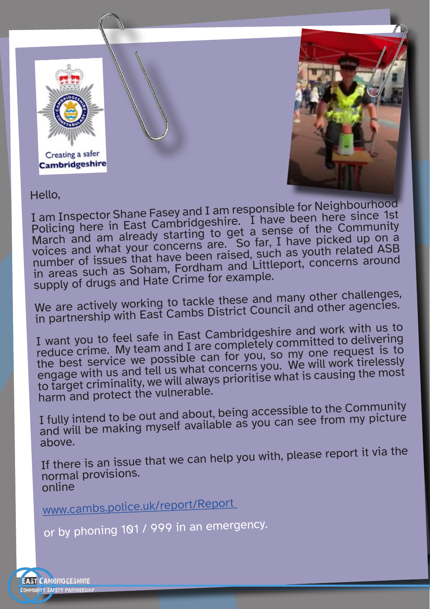



Hello,

I am Inspector Shane Fasey and I am responsible for Neighbourhood Policing here in East Cambridgeshire. I have been here since 1st March and am already starting to get a sense of the Community voices and what your concerns are. So far, I have picked up on a number of issues that have been raised, such as youth related ASB in areas such as Soham, Fordham and Littleport, concerns aroun<sup>d</sup> supply of drugs and Hate Crime for example.

We are actively working to tackle these and many other challenges, in partnership with East Cambs District Council and other agencies.

I want you to feel safe in East Cambridgeshire and work with us to reduce crime. My team and I are completely committed to delivering the best service we possible can for you, so my one request is to engage with us and tell us what concerns you. We will work tirelessly to target criminality, we will always prioritise what is causing the most harm and protect the vulnerable.

I fully intend to be out and about, being accessible to the Community and will be making myself available as you can see from my picture above.

If there is an issue that we can help you with, please report it via the normal provisions. online

www.cambs.police.uk/report/Report

or by phoning 101 / 999 in an emergency.

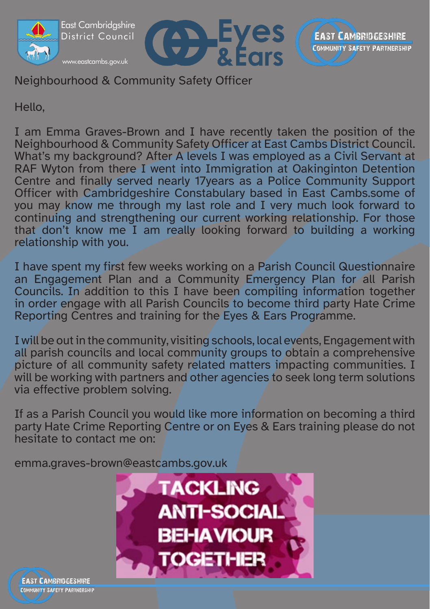

Neighbourhood & Community Safety Officer

Hello,

I am Emma Graves-Brown and I have recently taken the position of the Neighbourhood & Community Safety Officer at East Cambs District Council. What's my background? After A levels I was employed as a Civil Servant at RAF Wyton from there I went into Immigration at Oakinginton Detention Centre and finally served nearly 17years as a Police Community Support Officer with Cambridgeshire Constabulary based in East Cambs.some of you may know me through my last role and I very much look forward to continuing and strengthening our current working relationship. For those that don't know me I am really looking forward to building a working relationship with you.

I have spent my first few weeks working on a Parish Council Questionnaire an Engagement Plan and a Community Emergency Plan for all Parish Councils. In addition to this I have been compiling information together in order engage with all Parish Councils to become third party Hate Crime Reporting Centres and training for the Eyes & Ears Programme.

I will be out in the community, visiting schools, local events, Engagement with all parish councils and local community groups to obtain a comprehensive picture of all community safety related matters impacting communities. I will be working with partners and other agencies to seek long term solutions via effective problem solving.

If as a Parish Council you would like more information on becoming a third party Hate Crime Reporting Centre or on Eyes & Ears training please do not hesitate to contact me on:

emma.graves-brown@eastcambs.gov.uk



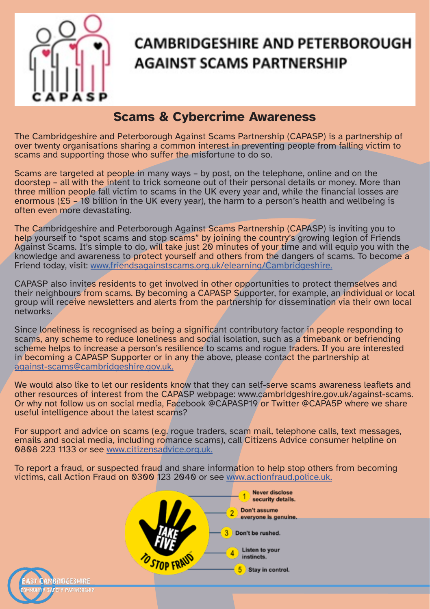

RIACESHIRE PARTNERSHIP

#### **CAMBRIDGESHIRE AND PETERBOROUGH AGAINST SCAMS PARTNERSHIP**

#### **Scams & Cybercrime Awareness**

The Cambridgeshire and Peterborough Against Scams Partnership (CAPASP) is a partnership of over twenty organisations sharing a common interest in preventing people from falling victim to scams and supporting those who suffer the misfortune to do so.

Scams are targeted at people in many ways – by post, on the telephone, online and on the doorstep – all with the intent to trick someone out of their personal details or money. More than three million people fall victim to scams in the UK every year and, while the financial losses are enormous (£5 – 10 billion in the UK every year), the harm to a person's health and wellbeing is often even more devastating.

The Cambridgeshire and Peterborough Against Scams Partnership (CAPASP) is inviting you to help yourself to "spot scams and stop scams" by joining the country's growing legion of Friends Against Scams. It's simple to do, will take just 20 minutes of your time and will equip you with the knowledge and awareness to protect yourself and others from the dangers of scams. To become a Friend today, visit: www.friendsagainstscams.org.uk/elearning/Cambridgeshire.

CAPASP also invites residents to get involved in other opportunities to protect themselves and their neighbours from scams. By becoming a CAPASP Supporter, for example, an individual or local group will receive newsletters and alerts from the partnership for dissemination via their own local networks.

Since loneliness is recognised as being a significant contributory factor in people responding to scams, any scheme to reduce loneliness and social isolation, such as a timebank or befriending scheme helps to increase a person's resilience to scams and rogue traders. If you are interested in becoming a CAPASP Supporter or in any the above, please contact the partnership at against-scams@cambridgeshire.gov.uk.

We would also like to let our residents know that they can self-serve scams awareness leaflets and other resources of interest from the CAPASP webpage: www.cambridgeshire.gov.uk/against-scams. Or why not follow us on social media, Facebook @CAPASP19 or Twitter @CAPA5P where we share useful intelligence about the latest scams?

For support and advice on scams (e.g. rogue traders, scam mail, telephone calls, text messages, emails and social media, including romance scams), call Citizens Advice consumer helpline on 0808 223 1133 or see www.citizensadvice.org.uk.

To report a fraud, or suspected fraud and share information to help stop others from becoming victims, call Action Fraud on 0300 123 2040 or see www.actionfraud.police.uk.

> Nover disclose security details. Don't assume everyone is genuine. Don't be rushed. Listen to your Ă instincts. 5 Stay in control.